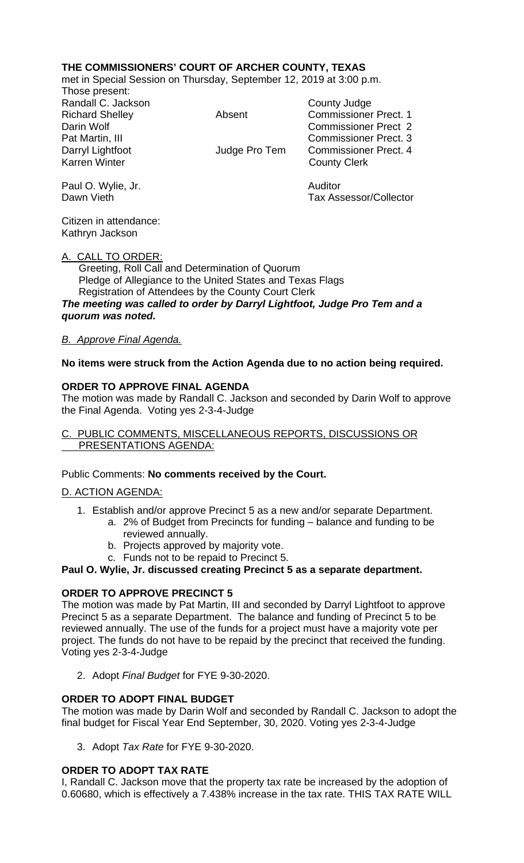## **THE COMMISSIONERS' COURT OF ARCHER COUNTY, TEXAS**

met in Special Session on Thursday, September 12, 2019 at 3:00 p.m.

Those present: Randall C. Jackson County Judge

Richard Shelley **Absent** Commissioner Prect. 1 Darin Wolf Commissioner Prect 2 Pat Martin, III Commissioner Prect. 3 Darryl Lightfoot **Darryl Lightfoot** Judge Pro Tem Commissioner Prect. 4<br>Karren Winter **County Clerk County Clerk** 

Paul O. Wylie, Jr. Auditor Tax Assessor/Collector

Citizen in attendance: Kathryn Jackson

#### A. CALL TO ORDER:

 Greeting, Roll Call and Determination of Quorum Pledge of Allegiance to the United States and Texas Flags Registration of Attendees by the County Court Clerk *The meeting was called to order by Darryl Lightfoot, Judge Pro Tem and a* 

*quorum was noted.*

# *B. Approve Final Agenda.*

### **No items were struck from the Action Agenda due to no action being required.**

### **ORDER TO APPROVE FINAL AGENDA**

The motion was made by Randall C. Jackson and seconded by Darin Wolf to approve the Final Agenda. Voting yes 2-3-4-Judge

#### C. PUBLIC COMMENTS, MISCELLANEOUS REPORTS, DISCUSSIONS OR PRESENTATIONS AGENDA:

#### Public Comments: **No comments received by the Court.**

#### D. ACTION AGENDA:

- 1. Establish and/or approve Precinct 5 as a new and/or separate Department.
	- a. 2% of Budget from Precincts for funding balance and funding to be reviewed annually.
	- b. Projects approved by majority vote.
	- c. Funds not to be repaid to Precinct 5.

### **Paul O. Wylie, Jr. discussed creating Precinct 5 as a separate department.**

## **ORDER TO APPROVE PRECINCT 5**

The motion was made by Pat Martin, III and seconded by Darryl Lightfoot to approve Precinct 5 as a separate Department. The balance and funding of Precinct 5 to be reviewed annually. The use of the funds for a project must have a majority vote per project. The funds do not have to be repaid by the precinct that received the funding. Voting yes 2-3-4-Judge

2. Adopt *Final Budget* for FYE 9-30-2020.

## **ORDER TO ADOPT FINAL BUDGET**

The motion was made by Darin Wolf and seconded by Randall C. Jackson to adopt the final budget for Fiscal Year End September, 30, 2020. Voting yes 2-3-4-Judge

3. Adopt *Tax Rate* for FYE 9-30-2020.

## **ORDER TO ADOPT TAX RATE**

I, Randall C. Jackson move that the property tax rate be increased by the adoption of 0.60680, which is effectively a 7.438% increase in the tax rate. THIS TAX RATE WILL